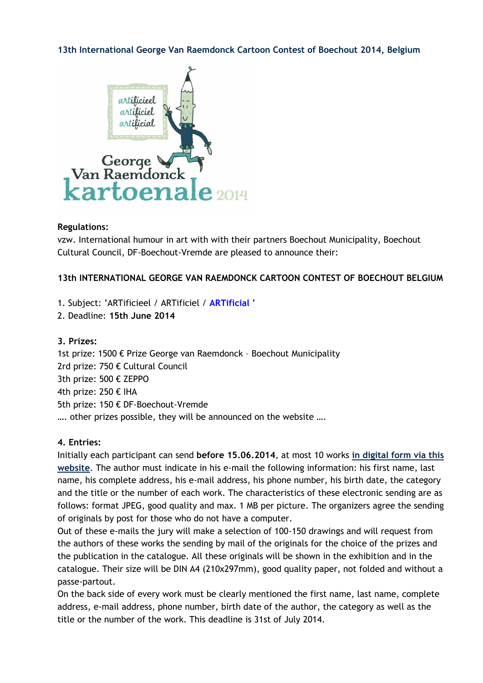### **[13th International George Van Raemdonck Cartoon Contest of Boechout 2014, Belgium](http://caricaturque.blogspot.com/2014/01/13th-international-george-van-raemdonck.html)**



#### **Regulations:**

vzw. International humour in art with with their partners Boechout Municipality, Boechout Cultural Council, DF-Boechout-Vremde are pleased to announce their:

### **13th INTERNATIONAL GEORGE VAN RAEMDONCK CARTOON CONTEST OF BOECHOUT BELGIUM**

1. Subject: 'ARTificieel / ARTificiel / **ARTificial** '

2. Deadline: **15th June 2014**

#### **3. Prizes:**

1st prize: 1500 € Prize George van Raemdonck – Boechout Municipality 2rd prize: 750 € Cultural Council 3th prize: 500 € ZEPPO 4th prize: 250 € IHA 5th prize: 150 € DF-Boechout-Vremde …. other prizes possible, they will be announced on the website ….

#### **4. Entries:**

Initially each participant can send **before 15.06.2014**, at most 10 works **[in digital form via this](http://www.iha.be/deploy/index.php/kartoenale-2014-cartooncontest-2014/deelnemen-participer-participate)  [website](http://www.iha.be/deploy/index.php/kartoenale-2014-cartooncontest-2014/deelnemen-participer-participate)**. The author must indicate in his e-mail the following information: his first name, last name, his complete address, his e-mail address, his phone number, his birth date, the category and the title or the number of each work. The characteristics of these electronic sending are as follows: format JPEG, good quality and max. 1 MB per picture. The organizers agree the sending of originals by post for those who do not have a computer.

Out of these e-mails the jury will make a selection of 100-150 drawings and will request from the authors of these works the sending by mail of the originals for the choice of the prizes and the publication in the catalogue. All these originals will be shown in the exhibition and in the catalogue. Their size will be DIN A4 (210x297mm), good quality paper, not folded and without a passe-partout.

On the back side of every work must be clearly mentioned the first name, last name, complete address, e-mail address, phone number, birth date of the author, the category as well as the title or the number of the work. This deadline is 31st of July 2014.